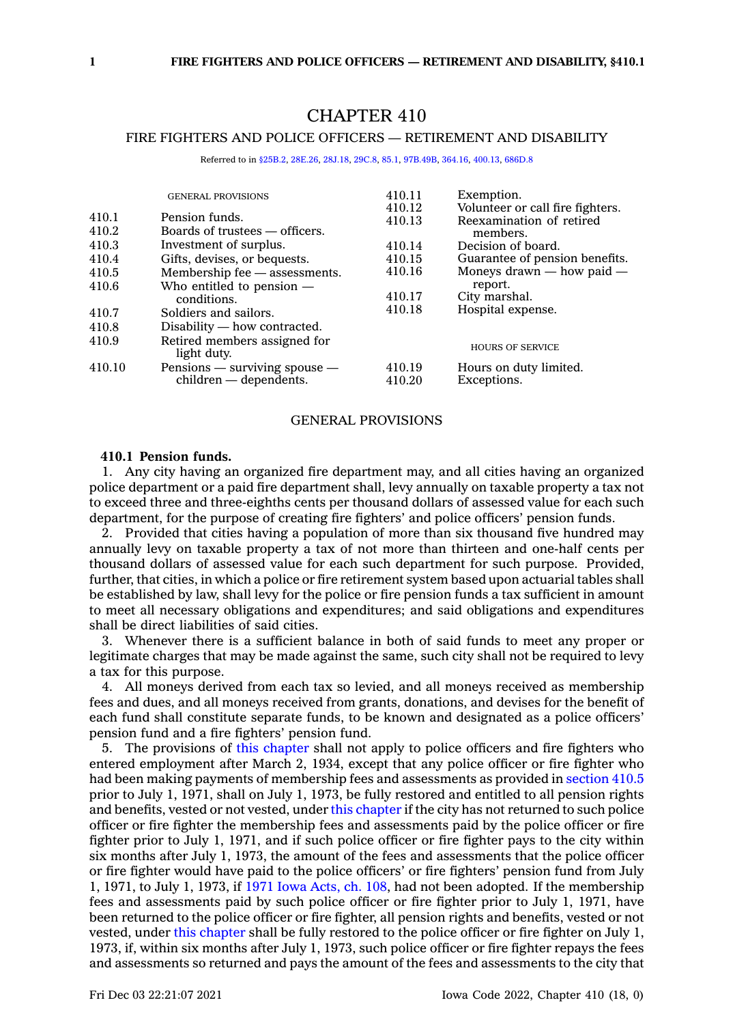# CHAPTER 410

## FIRE FIGHTERS AND POLICE OFFICERS — RETIREMENT AND DISABILITY

Referred to in [§25B.2](https://www.legis.iowa.gov/docs/code/25B.2.pdf), [28E.26](https://www.legis.iowa.gov/docs/code/28E.26.pdf), [28J.18,](https://www.legis.iowa.gov/docs/code/28J.18.pdf) [29C.8,](https://www.legis.iowa.gov/docs/code/29C.8.pdf) [85.1](https://www.legis.iowa.gov/docs/code/85.1.pdf), [97B.49B](https://www.legis.iowa.gov/docs/code/97B.49B.pdf), [364.16](https://www.legis.iowa.gov/docs/code/364.16.pdf), [400.13](https://www.legis.iowa.gov/docs/code/400.13.pdf), [686D.8](https://www.legis.iowa.gov/docs/code/686D.8.pdf)

|        | <b>GENERAL PROVISIONS</b>                   | 410.11 | Exemption.                       |
|--------|---------------------------------------------|--------|----------------------------------|
|        |                                             | 410.12 | Volunteer or call fire fighters. |
| 410.1  | Pension funds.                              | 410.13 | Reexamination of retired         |
| 410.2  | Boards of trustees — officers.              |        | members.                         |
| 410.3  | Investment of surplus.                      | 410.14 | Decision of board.               |
| 410.4  | Gifts, devises, or bequests.                | 410.15 | Guarantee of pension benefits.   |
| 410.5  | Membership fee — assessments.               | 410.16 | Moneys drawn $-$ how paid $-$    |
| 410.6  | Who entitled to pension $-$                 |        | report.                          |
|        | conditions.                                 | 410.17 | City marshal.                    |
| 410.7  | Soldiers and sailors.                       | 410.18 | Hospital expense.                |
| 410.8  | $Disability$ — how contracted.              |        |                                  |
| 410.9  | Retired members assigned for<br>light duty. |        | <b>HOURS OF SERVICE</b>          |
| 410.10 | Pensions $-$ surviving spouse $-$           | 410.19 | Hours on duty limited.           |
|        | children — dependents.                      | 410.20 | Exceptions.                      |

### GENERAL PROVISIONS

### **410.1 Pension funds.**

1. Any city having an organized fire department may, and all cities having an organized police department or <sup>a</sup> paid fire department shall, levy annually on taxable property <sup>a</sup> tax not to exceed three and three-eighths cents per thousand dollars of assessed value for each such department, for the purpose of creating fire fighters' and police officers' pension funds.

2. Provided that cities having <sup>a</sup> population of more than six thousand five hundred may annually levy on taxable property <sup>a</sup> tax of not more than thirteen and one-half cents per thousand dollars of assessed value for each such department for such purpose. Provided, further, that cities, in which <sup>a</sup> police or fire retirement system based upon actuarial tables shall be established by law, shall levy for the police or fire pension funds <sup>a</sup> tax sufficient in amount to meet all necessary obligations and expenditures; and said obligations and expenditures shall be direct liabilities of said cities.

3. Whenever there is <sup>a</sup> sufficient balance in both of said funds to meet any proper or legitimate charges that may be made against the same, such city shall not be required to levy <sup>a</sup> tax for this purpose.

4. All moneys derived from each tax so levied, and all moneys received as membership fees and dues, and all moneys received from grants, donations, and devises for the benefit of each fund shall constitute separate funds, to be known and designated as <sup>a</sup> police officers' pension fund and <sup>a</sup> fire fighters' pension fund.

5. The provisions of this [chapter](https://www.legis.iowa.gov/docs/code//410.pdf) shall not apply to police officers and fire fighters who entered employment after March 2, 1934, except that any police officer or fire fighter who had been making payments of membership fees and assessments as provided in [section](https://www.legis.iowa.gov/docs/code/410.5.pdf) 410.5 prior to July 1, 1971, shall on July 1, 1973, be fully restored and entitled to all pension rights and benefits, vested or not vested, under this [chapter](https://www.legis.iowa.gov/docs/code//410.pdf) if the city has not returned to such police officer or fire fighter the membership fees and assessments paid by the police officer or fire fighter prior to July 1, 1971, and if such police officer or fire fighter pays to the city within six months after July 1, 1973, the amount of the fees and assessments that the police officer or fire fighter would have paid to the police officers' or fire fighters' pension fund from July 1, 1971, to July 1, 1973, if 1971 Iowa [Acts,](https://www.legis.iowa.gov/docs/acts/1971/CH0108.pdf) ch. 108, had not been adopted. If the membership fees and assessments paid by such police officer or fire fighter prior to July 1, 1971, have been returned to the police officer or fire fighter, all pension rights and benefits, vested or not vested, under this [chapter](https://www.legis.iowa.gov/docs/code//410.pdf) shall be fully restored to the police officer or fire fighter on July 1, 1973, if, within six months after July 1, 1973, such police officer or fire fighter repays the fees and assessments so returned and pays the amount of the fees and assessments to the city that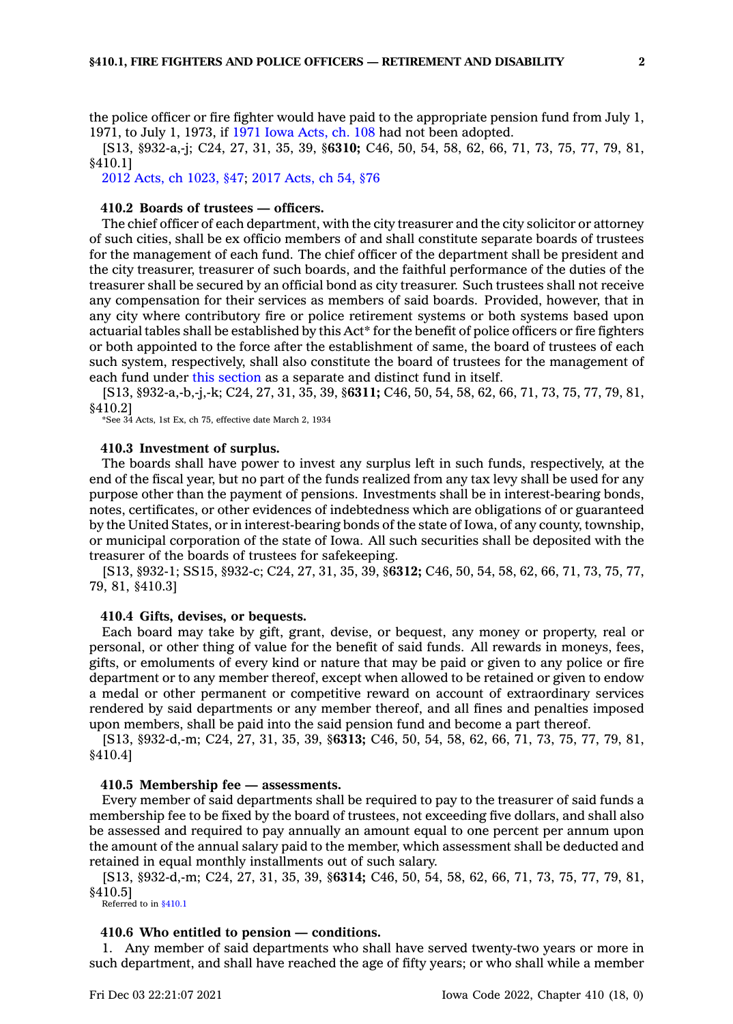the police officer or fire fighter would have paid to the appropriate pension fund from July 1, 1971, to July 1, 1973, if 1971 Iowa [Acts,](https://www.legis.iowa.gov/docs/acts/1971/CH0108.pdf) ch. 108 had not been adopted.

[S13, §932-a,-j; C24, 27, 31, 35, 39, §**6310;** C46, 50, 54, 58, 62, 66, 71, 73, 75, 77, 79, 81, §410.1]

2012 Acts, ch [1023,](https://www.legis.iowa.gov/docs/acts/2012/CH1023.pdf) §47; 2017 [Acts,](https://www.legis.iowa.gov/docs/acts/2017/CH0054.pdf) ch 54, §76

### **410.2 Boards of trustees — officers.**

The chief officer of each department, with the city treasurer and the city solicitor or attorney of such cities, shall be ex officio members of and shall constitute separate boards of trustees for the management of each fund. The chief officer of the department shall be president and the city treasurer, treasurer of such boards, and the faithful performance of the duties of the treasurer shall be secured by an official bond as city treasurer. Such trustees shall not receive any compensation for their services as members of said boards. Provided, however, that in any city where contributory fire or police retirement systems or both systems based upon actuarial tables shall be established by this Act\* for the benefit of police officers or fire fighters or both appointed to the force after the establishment of same, the board of trustees of each such system, respectively, shall also constitute the board of trustees for the management of each fund under this [section](https://www.legis.iowa.gov/docs/code/410.2.pdf) as <sup>a</sup> separate and distinct fund in itself.

[S13, §932-a,-b,-j,-k; C24, 27, 31, 35, 39, §**6311;** C46, 50, 54, 58, 62, 66, 71, 73, 75, 77, 79, 81, §410.2]

\*See 34 Acts, 1st Ex, ch 75, effective date March 2, 1934

#### **410.3 Investment of surplus.**

The boards shall have power to invest any surplus left in such funds, respectively, at the end of the fiscal year, but no part of the funds realized from any tax levy shall be used for any purpose other than the payment of pensions. Investments shall be in interest-bearing bonds, notes, certificates, or other evidences of indebtedness which are obligations of or guaranteed by the United States, or in interest-bearing bonds of the state of Iowa, of any county, township, or municipal corporation of the state of Iowa. All such securities shall be deposited with the treasurer of the boards of trustees for safekeeping.

[S13, §932-1; SS15, §932-c; C24, 27, 31, 35, 39, §**6312;** C46, 50, 54, 58, 62, 66, 71, 73, 75, 77, 79, 81, §410.3]

#### **410.4 Gifts, devises, or bequests.**

Each board may take by gift, grant, devise, or bequest, any money or property, real or personal, or other thing of value for the benefit of said funds. All rewards in moneys, fees, gifts, or emoluments of every kind or nature that may be paid or given to any police or fire department or to any member thereof, except when allowed to be retained or given to endow <sup>a</sup> medal or other permanent or competitive reward on account of extraordinary services rendered by said departments or any member thereof, and all fines and penalties imposed upon members, shall be paid into the said pension fund and become <sup>a</sup> part thereof.

[S13, §932-d,-m; C24, 27, 31, 35, 39, §**6313;** C46, 50, 54, 58, 62, 66, 71, 73, 75, 77, 79, 81, §410.4]

## **410.5 Membership fee — assessments.**

Every member of said departments shall be required to pay to the treasurer of said funds <sup>a</sup> membership fee to be fixed by the board of trustees, not exceeding five dollars, and shall also be assessed and required to pay annually an amount equal to one percent per annum upon the amount of the annual salary paid to the member, which assessment shall be deducted and retained in equal monthly installments out of such salary.

[S13, §932-d,-m; C24, 27, 31, 35, 39, §**6314;** C46, 50, 54, 58, 62, 66, 71, 73, 75, 77, 79, 81, §410.5]

Referred to in [§410.1](https://www.legis.iowa.gov/docs/code/410.1.pdf)

### **410.6 Who entitled to pension — conditions.**

1. Any member of said departments who shall have served twenty-two years or more in such department, and shall have reached the age of fifty years; or who shall while <sup>a</sup> member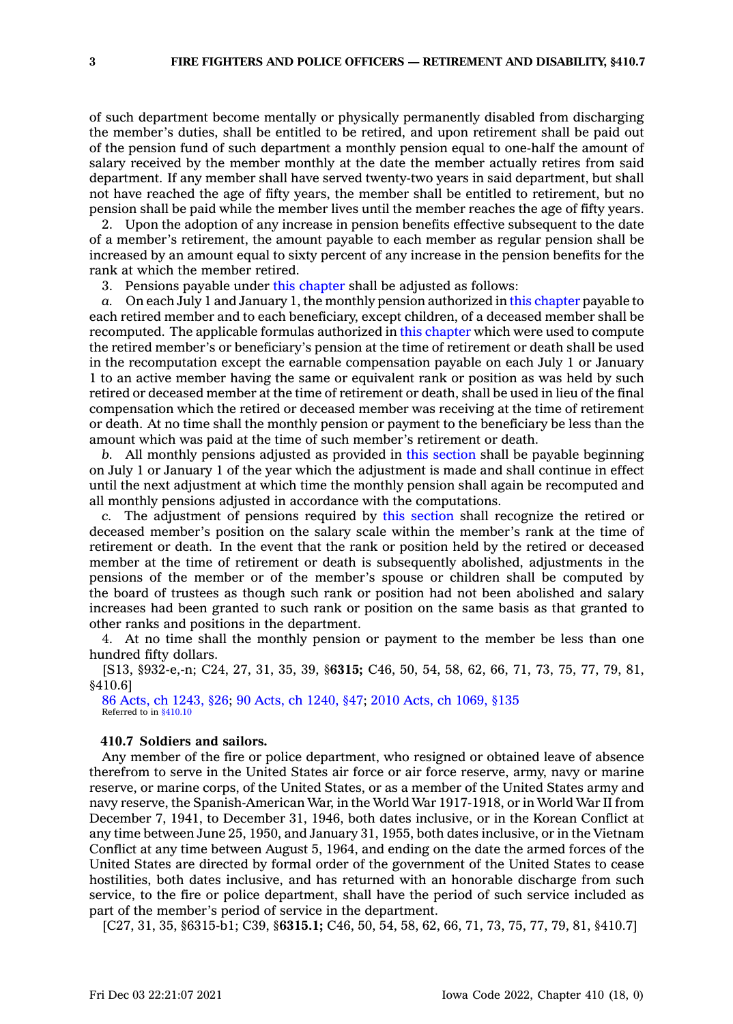of such department become mentally or physically permanently disabled from discharging the member's duties, shall be entitled to be retired, and upon retirement shall be paid out of the pension fund of such department <sup>a</sup> monthly pension equal to one-half the amount of salary received by the member monthly at the date the member actually retires from said department. If any member shall have served twenty-two years in said department, but shall not have reached the age of fifty years, the member shall be entitled to retirement, but no pension shall be paid while the member lives until the member reaches the age of fifty years.

2. Upon the adoption of any increase in pension benefits effective subsequent to the date of <sup>a</sup> member's retirement, the amount payable to each member as regular pension shall be increased by an amount equal to sixty percent of any increase in the pension benefits for the rank at which the member retired.

3. Pensions payable under this [chapter](https://www.legis.iowa.gov/docs/code//410.pdf) shall be adjusted as follows:

*a.* On each July 1 and January 1, the monthly pension authorized in this [chapter](https://www.legis.iowa.gov/docs/code//410.pdf) payable to each retired member and to each beneficiary, except children, of <sup>a</sup> deceased member shall be recomputed. The applicable formulas authorized in this [chapter](https://www.legis.iowa.gov/docs/code//410.pdf) which were used to compute the retired member's or beneficiary's pension at the time of retirement or death shall be used in the recomputation except the earnable compensation payable on each July 1 or January 1 to an active member having the same or equivalent rank or position as was held by such retired or deceased member at the time of retirement or death, shall be used in lieu of the final compensation which the retired or deceased member was receiving at the time of retirement or death. At no time shall the monthly pension or payment to the beneficiary be less than the amount which was paid at the time of such member's retirement or death.

*b.* All monthly pensions adjusted as provided in this [section](https://www.legis.iowa.gov/docs/code/410.6.pdf) shall be payable beginning on July 1 or January 1 of the year which the adjustment is made and shall continue in effect until the next adjustment at which time the monthly pension shall again be recomputed and all monthly pensions adjusted in accordance with the computations.

*c.* The adjustment of pensions required by this [section](https://www.legis.iowa.gov/docs/code/410.6.pdf) shall recognize the retired or deceased member's position on the salary scale within the member's rank at the time of retirement or death. In the event that the rank or position held by the retired or deceased member at the time of retirement or death is subsequently abolished, adjustments in the pensions of the member or of the member's spouse or children shall be computed by the board of trustees as though such rank or position had not been abolished and salary increases had been granted to such rank or position on the same basis as that granted to other ranks and positions in the department.

4. At no time shall the monthly pension or payment to the member be less than one hundred fifty dollars.

[S13, §932-e,-n; C24, 27, 31, 35, 39, §**6315;** C46, 50, 54, 58, 62, 66, 71, 73, 75, 77, 79, 81, §410.6]

86 Acts, ch [1243,](https://www.legis.iowa.gov/docs/acts/1986/CH1243.pdf) §26; 90 Acts, ch [1240,](https://www.legis.iowa.gov/docs/acts/90/CH1240.pdf) §47; 2010 Acts, ch [1069,](https://www.legis.iowa.gov/docs/acts/2010/CH1069.pdf) §135 Referred to in [§410.10](https://www.legis.iowa.gov/docs/code/410.10.pdf)

### **410.7 Soldiers and sailors.**

Any member of the fire or police department, who resigned or obtained leave of absence therefrom to serve in the United States air force or air force reserve, army, navy or marine reserve, or marine corps, of the United States, or as <sup>a</sup> member of the United States army and navy reserve, the Spanish-American War, in the World War 1917-1918, or in World War II from December 7, 1941, to December 31, 1946, both dates inclusive, or in the Korean Conflict at any time between June 25, 1950, and January 31, 1955, both dates inclusive, or in the Vietnam Conflict at any time between August 5, 1964, and ending on the date the armed forces of the United States are directed by formal order of the government of the United States to cease hostilities, both dates inclusive, and has returned with an honorable discharge from such service, to the fire or police department, shall have the period of such service included as part of the member's period of service in the department.

[C27, 31, 35, §6315-b1; C39, §**6315.1;** C46, 50, 54, 58, 62, 66, 71, 73, 75, 77, 79, 81, §410.7]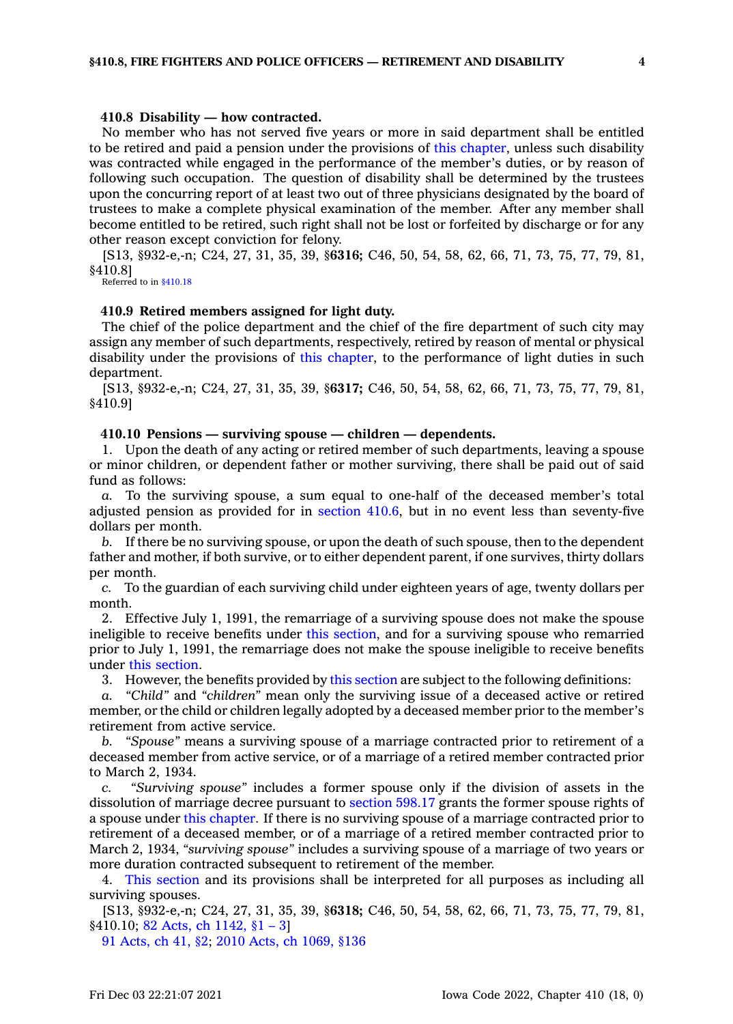#### **410.8 Disability — how contracted.**

No member who has not served five years or more in said department shall be entitled to be retired and paid <sup>a</sup> pension under the provisions of this [chapter](https://www.legis.iowa.gov/docs/code//410.pdf), unless such disability was contracted while engaged in the performance of the member's duties, or by reason of following such occupation. The question of disability shall be determined by the trustees upon the concurring report of at least two out of three physicians designated by the board of trustees to make <sup>a</sup> complete physical examination of the member. After any member shall become entitled to be retired, such right shall not be lost or forfeited by discharge or for any other reason except conviction for felony.

[S13, §932-e,-n; C24, 27, 31, 35, 39, §**6316;** C46, 50, 54, 58, 62, 66, 71, 73, 75, 77, 79, 81, §410.8]

Referred to in [§410.18](https://www.legis.iowa.gov/docs/code/410.18.pdf)

#### **410.9 Retired members assigned for light duty.**

The chief of the police department and the chief of the fire department of such city may assign any member of such departments, respectively, retired by reason of mental or physical disability under the provisions of this [chapter](https://www.legis.iowa.gov/docs/code//410.pdf), to the performance of light duties in such department.

[S13, §932-e,-n; C24, 27, 31, 35, 39, §**6317;** C46, 50, 54, 58, 62, 66, 71, 73, 75, 77, 79, 81, §410.9]

### **410.10 Pensions — surviving spouse — children — dependents.**

1. Upon the death of any acting or retired member of such departments, leaving <sup>a</sup> spouse or minor children, or dependent father or mother surviving, there shall be paid out of said fund as follows:

*a.* To the surviving spouse, <sup>a</sup> sum equal to one-half of the deceased member's total adjusted pension as provided for in [section](https://www.legis.iowa.gov/docs/code/410.6.pdf) 410.6, but in no event less than seventy-five dollars per month.

*b.* If there be no surviving spouse, or upon the death of such spouse, then to the dependent father and mother, if both survive, or to either dependent parent, if one survives, thirty dollars per month.

*c.* To the guardian of each surviving child under eighteen years of age, twenty dollars per month.

2. Effective July 1, 1991, the remarriage of <sup>a</sup> surviving spouse does not make the spouse ineligible to receive benefits under this [section](https://www.legis.iowa.gov/docs/code/410.10.pdf), and for <sup>a</sup> surviving spouse who remarried prior to July 1, 1991, the remarriage does not make the spouse ineligible to receive benefits under this [section](https://www.legis.iowa.gov/docs/code/410.10.pdf).

3. However, the benefits provided by this [section](https://www.legis.iowa.gov/docs/code/410.10.pdf) are subject to the following definitions:

*a. "Child"* and *"children"* mean only the surviving issue of <sup>a</sup> deceased active or retired member, or the child or children legally adopted by <sup>a</sup> deceased member prior to the member's retirement from active service.

*b. "Spouse"* means <sup>a</sup> surviving spouse of <sup>a</sup> marriage contracted prior to retirement of <sup>a</sup> deceased member from active service, or of <sup>a</sup> marriage of <sup>a</sup> retired member contracted prior to March 2, 1934.

*c. "Surviving spouse"* includes <sup>a</sup> former spouse only if the division of assets in the dissolution of marriage decree pursuant to [section](https://www.legis.iowa.gov/docs/code/598.17.pdf) 598.17 grants the former spouse rights of <sup>a</sup> spouse under this [chapter](https://www.legis.iowa.gov/docs/code//410.pdf). If there is no surviving spouse of <sup>a</sup> marriage contracted prior to retirement of <sup>a</sup> deceased member, or of <sup>a</sup> marriage of <sup>a</sup> retired member contracted prior to March 2, 1934, *"surviving spouse"* includes <sup>a</sup> surviving spouse of <sup>a</sup> marriage of two years or more duration contracted subsequent to retirement of the member.

4. This [section](https://www.legis.iowa.gov/docs/code/410.10.pdf) and its provisions shall be interpreted for all purposes as including all surviving spouses.

[S13, §932-e,-n; C24, 27, 31, 35, 39, §**6318;** C46, 50, 54, 58, 62, 66, 71, 73, 75, 77, 79, 81, §410.10; 82 Acts, ch [1142,](https://www.legis.iowa.gov/docs/acts/1982/CH1142.pdf) §1 – 3]

91 [Acts,](https://www.legis.iowa.gov/docs/acts/1991/CH0041.pdf) ch 41, §2; 2010 Acts, ch [1069,](https://www.legis.iowa.gov/docs/acts/2010/CH1069.pdf) §136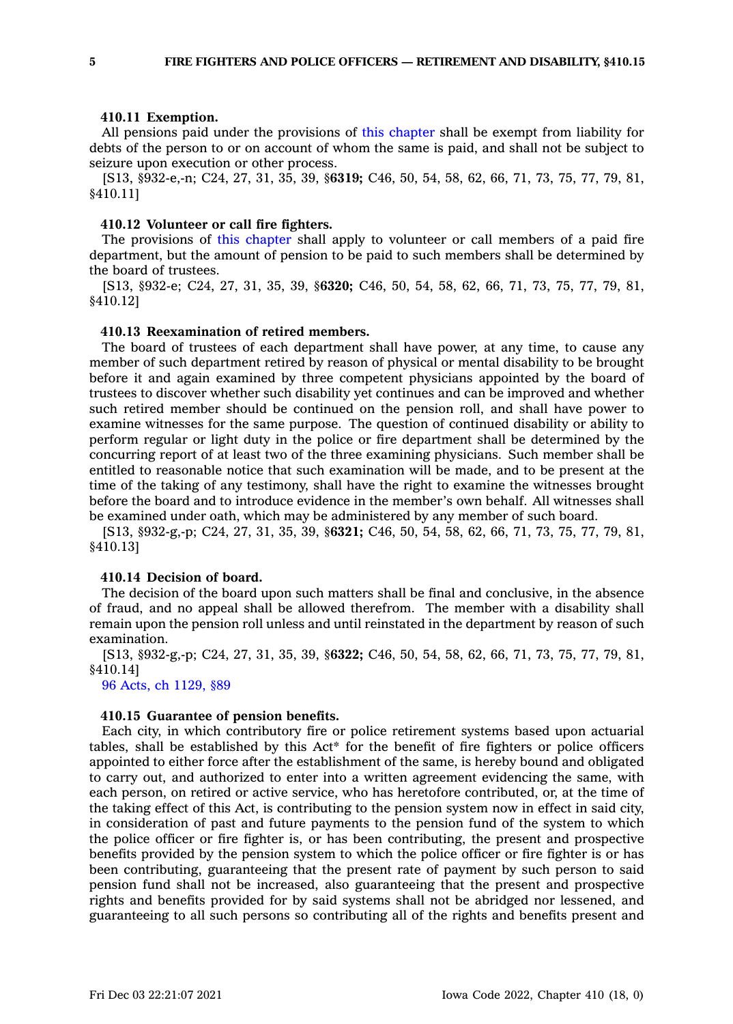#### **410.11 Exemption.**

All pensions paid under the provisions of this [chapter](https://www.legis.iowa.gov/docs/code//410.pdf) shall be exempt from liability for debts of the person to or on account of whom the same is paid, and shall not be subject to seizure upon execution or other process.

[S13, §932-e,-n; C24, 27, 31, 35, 39, §**6319;** C46, 50, 54, 58, 62, 66, 71, 73, 75, 77, 79, 81, §410.11]

#### **410.12 Volunteer or call fire fighters.**

The provisions of this [chapter](https://www.legis.iowa.gov/docs/code//410.pdf) shall apply to volunteer or call members of <sup>a</sup> paid fire department, but the amount of pension to be paid to such members shall be determined by the board of trustees.

[S13, §932-e; C24, 27, 31, 35, 39, §**6320;** C46, 50, 54, 58, 62, 66, 71, 73, 75, 77, 79, 81, §410.12]

#### **410.13 Reexamination of retired members.**

The board of trustees of each department shall have power, at any time, to cause any member of such department retired by reason of physical or mental disability to be brought before it and again examined by three competent physicians appointed by the board of trustees to discover whether such disability yet continues and can be improved and whether such retired member should be continued on the pension roll, and shall have power to examine witnesses for the same purpose. The question of continued disability or ability to perform regular or light duty in the police or fire department shall be determined by the concurring report of at least two of the three examining physicians. Such member shall be entitled to reasonable notice that such examination will be made, and to be present at the time of the taking of any testimony, shall have the right to examine the witnesses brought before the board and to introduce evidence in the member's own behalf. All witnesses shall be examined under oath, which may be administered by any member of such board.

[S13, §932-g,-p; C24, 27, 31, 35, 39, §**6321;** C46, 50, 54, 58, 62, 66, 71, 73, 75, 77, 79, 81, §410.13]

#### **410.14 Decision of board.**

The decision of the board upon such matters shall be final and conclusive, in the absence of fraud, and no appeal shall be allowed therefrom. The member with <sup>a</sup> disability shall remain upon the pension roll unless and until reinstated in the department by reason of such examination.

[S13, §932-g,-p; C24, 27, 31, 35, 39, §**6322;** C46, 50, 54, 58, 62, 66, 71, 73, 75, 77, 79, 81, §410.14]

96 Acts, ch [1129,](https://www.legis.iowa.gov/docs/acts/1996/CH1129.pdf) §89

### **410.15 Guarantee of pension benefits.**

Each city, in which contributory fire or police retirement systems based upon actuarial tables, shall be established by this Act\* for the benefit of fire fighters or police officers appointed to either force after the establishment of the same, is hereby bound and obligated to carry out, and authorized to enter into <sup>a</sup> written agreement evidencing the same, with each person, on retired or active service, who has heretofore contributed, or, at the time of the taking effect of this Act, is contributing to the pension system now in effect in said city, in consideration of past and future payments to the pension fund of the system to which the police officer or fire fighter is, or has been contributing, the present and prospective benefits provided by the pension system to which the police officer or fire fighter is or has been contributing, guaranteeing that the present rate of payment by such person to said pension fund shall not be increased, also guaranteeing that the present and prospective rights and benefits provided for by said systems shall not be abridged nor lessened, and guaranteeing to all such persons so contributing all of the rights and benefits present and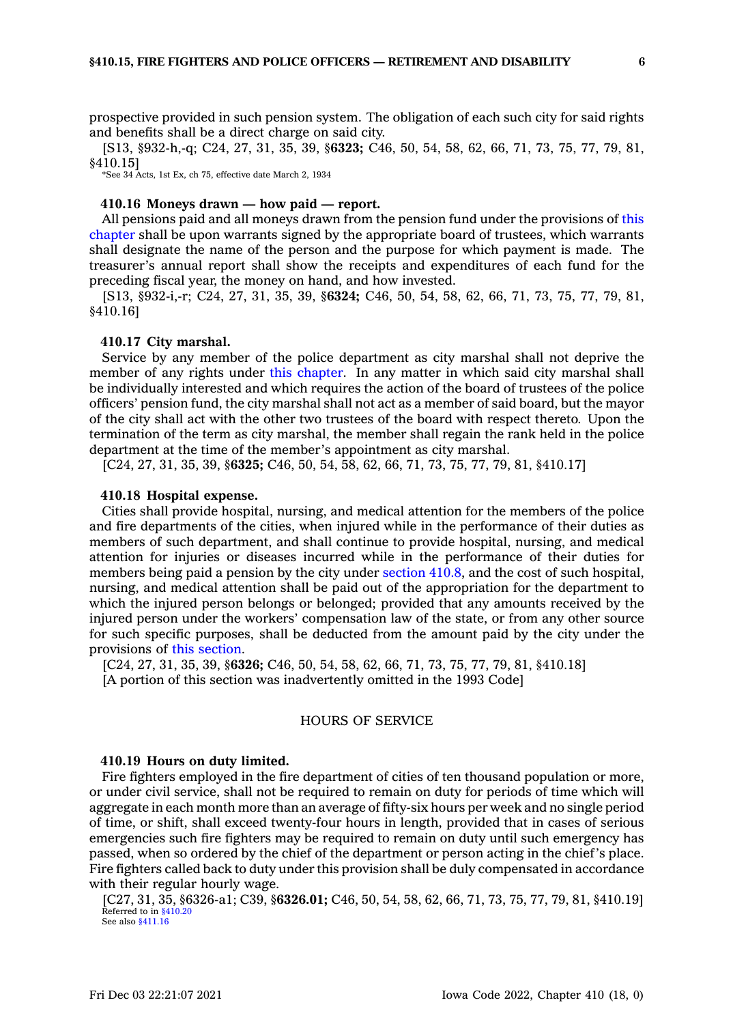prospective provided in such pension system. The obligation of each such city for said rights and benefits shall be <sup>a</sup> direct charge on said city.

[S13, §932-h,-q; C24, 27, 31, 35, 39, §**6323;** C46, 50, 54, 58, 62, 66, 71, 73, 75, 77, 79, 81, §410.15]

\*See 34 Acts, 1st Ex, ch 75, effective date March 2, 1934

### **410.16 Moneys drawn — how paid — report.**

All pensions paid and all moneys drawn from the pension fund under the provisions of [this](https://www.legis.iowa.gov/docs/code//410.pdf) [chapter](https://www.legis.iowa.gov/docs/code//410.pdf) shall be upon warrants signed by the appropriate board of trustees, which warrants shall designate the name of the person and the purpose for which payment is made. The treasurer's annual report shall show the receipts and expenditures of each fund for the preceding fiscal year, the money on hand, and how invested.

[S13, §932-i,-r; C24, 27, 31, 35, 39, §**6324;** C46, 50, 54, 58, 62, 66, 71, 73, 75, 77, 79, 81, §410.16]

#### **410.17 City marshal.**

Service by any member of the police department as city marshal shall not deprive the member of any rights under this [chapter](https://www.legis.iowa.gov/docs/code//410.pdf). In any matter in which said city marshal shall be individually interested and which requires the action of the board of trustees of the police officers' pension fund, the city marshal shall not act as <sup>a</sup> member of said board, but the mayor of the city shall act with the other two trustees of the board with respect thereto. Upon the termination of the term as city marshal, the member shall regain the rank held in the police department at the time of the member's appointment as city marshal.

[C24, 27, 31, 35, 39, §**6325;** C46, 50, 54, 58, 62, 66, 71, 73, 75, 77, 79, 81, §410.17]

#### **410.18 Hospital expense.**

Cities shall provide hospital, nursing, and medical attention for the members of the police and fire departments of the cities, when injured while in the performance of their duties as members of such department, and shall continue to provide hospital, nursing, and medical attention for injuries or diseases incurred while in the performance of their duties for members being paid <sup>a</sup> pension by the city under [section](https://www.legis.iowa.gov/docs/code/410.8.pdf) 410.8, and the cost of such hospital, nursing, and medical attention shall be paid out of the appropriation for the department to which the injured person belongs or belonged; provided that any amounts received by the injured person under the workers' compensation law of the state, or from any other source for such specific purposes, shall be deducted from the amount paid by the city under the provisions of this [section](https://www.legis.iowa.gov/docs/code/410.18.pdf).

[C24, 27, 31, 35, 39, §**6326;** C46, 50, 54, 58, 62, 66, 71, 73, 75, 77, 79, 81, §410.18] [A portion of this section was inadvertently omitted in the 1993 Code]

#### HOURS OF SERVICE

#### **410.19 Hours on duty limited.**

Fire fighters employed in the fire department of cities of ten thousand population or more, or under civil service, shall not be required to remain on duty for periods of time which will aggregate in each month more than an average of fifty-six hours per week and no single period of time, or shift, shall exceed twenty-four hours in length, provided that in cases of serious emergencies such fire fighters may be required to remain on duty until such emergency has passed, when so ordered by the chief of the department or person acting in the chief's place. Fire fighters called back to duty under this provision shall be duly compensated in accordance with their regular hourly wage.

[C27, 31, 35, §6326-a1; C39, §**6326.01;** C46, 50, 54, 58, 62, 66, 71, 73, 75, 77, 79, 81, §410.19] Referred to in [§410.20](https://www.legis.iowa.gov/docs/code/410.20.pdf) See also [§411.16](https://www.legis.iowa.gov/docs/code/411.16.pdf)